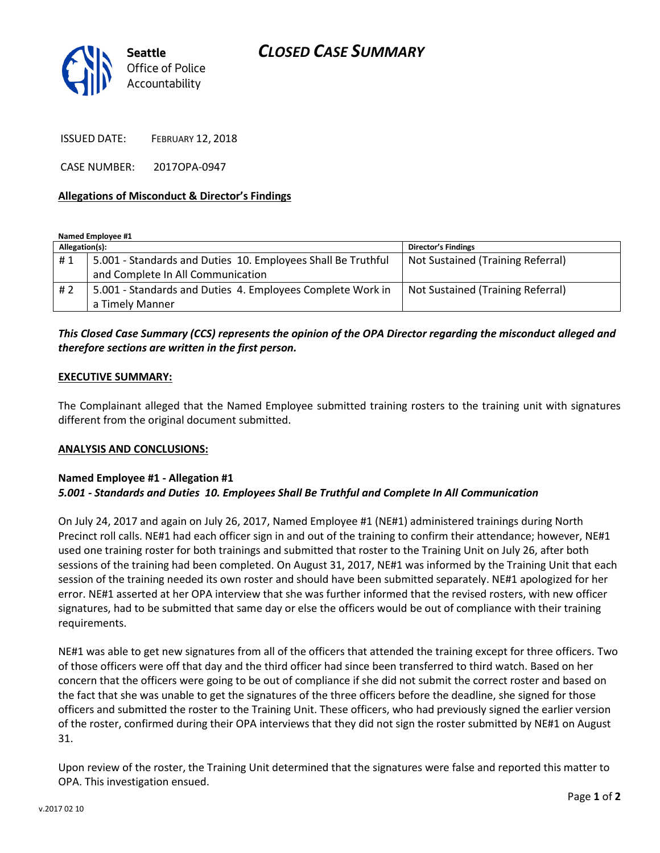

ISSUED DATE: FEBRUARY 12, 2018

CASE NUMBER: 2017OPA-0947

### **Allegations of Misconduct & Director's Findings**

**Named Employee #1**

| Allegation(s): |                                                              | <b>Director's Findings</b>        |
|----------------|--------------------------------------------------------------|-----------------------------------|
| #1             | 5.001 - Standards and Duties 10. Employees Shall Be Truthful | Not Sustained (Training Referral) |
|                | and Complete In All Communication                            |                                   |
| #2             | 5.001 - Standards and Duties 4. Employees Complete Work in   | Not Sustained (Training Referral) |
|                | a Timely Manner                                              |                                   |

# *This Closed Case Summary (CCS) represents the opinion of the OPA Director regarding the misconduct alleged and therefore sections are written in the first person.*

#### **EXECUTIVE SUMMARY:**

The Complainant alleged that the Named Employee submitted training rosters to the training unit with signatures different from the original document submitted.

#### **ANALYSIS AND CONCLUSIONS:**

# **Named Employee #1 - Allegation #1** *5.001 - Standards and Duties 10. Employees Shall Be Truthful and Complete In All Communication*

On July 24, 2017 and again on July 26, 2017, Named Employee #1 (NE#1) administered trainings during North Precinct roll calls. NE#1 had each officer sign in and out of the training to confirm their attendance; however, NE#1 used one training roster for both trainings and submitted that roster to the Training Unit on July 26, after both sessions of the training had been completed. On August 31, 2017, NE#1 was informed by the Training Unit that each session of the training needed its own roster and should have been submitted separately. NE#1 apologized for her error. NE#1 asserted at her OPA interview that she was further informed that the revised rosters, with new officer signatures, had to be submitted that same day or else the officers would be out of compliance with their training requirements.

NE#1 was able to get new signatures from all of the officers that attended the training except for three officers. Two of those officers were off that day and the third officer had since been transferred to third watch. Based on her concern that the officers were going to be out of compliance if she did not submit the correct roster and based on the fact that she was unable to get the signatures of the three officers before the deadline, she signed for those officers and submitted the roster to the Training Unit. These officers, who had previously signed the earlier version of the roster, confirmed during their OPA interviews that they did not sign the roster submitted by NE#1 on August 31.

Upon review of the roster, the Training Unit determined that the signatures were false and reported this matter to OPA. This investigation ensued.